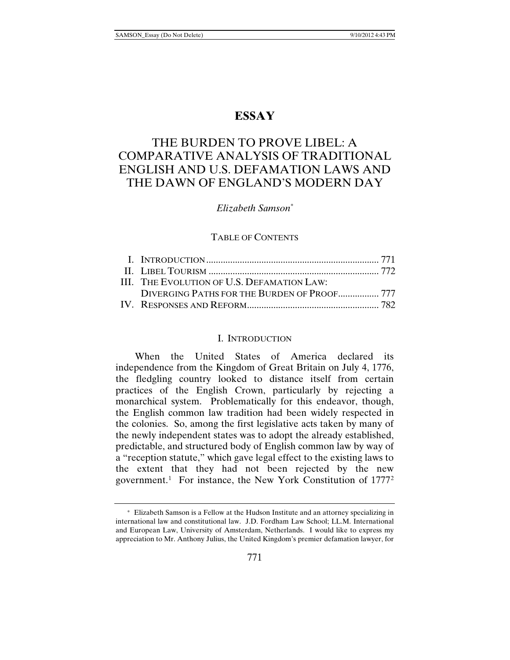## **ESSAY**

# THE BURDEN TO PROVE LIBEL: A COMPARATIVE ANALYSIS OF TRADITIONAL ENGLISH AND U.S. DEFAMATION LAWS AND THE DAWN OF ENGLAND'S MODERN DAY

#### *Elizabeth Samson\**

#### TABLE OF CONTENTS

| III. THE EVOLUTION OF U.S. DEFAMATION LAW:  |  |
|---------------------------------------------|--|
| DIVERGING PATHS FOR THE BURDEN OF PROOF 777 |  |
|                                             |  |

#### I. INTRODUCTION

When the United States of America declared its independence from the Kingdom of Great Britain on July 4, 1776, the fledgling country looked to distance itself from certain practices of the English Crown, particularly by rejecting a monarchical system. Problematically for this endeavor, though, the English common law tradition had been widely respected in the colonies. So, among the first legislative acts taken by many of the newly independent states was to adopt the already established, predictable, and structured body of English common law by way of a "reception statute," which gave legal effect to the existing laws to the extent that they had not been rejected by the new government.<sup>[1](#page-0-0)</sup> For instance, the New York Constitution of  $1777<sup>2</sup>$  $1777<sup>2</sup>$  $1777<sup>2</sup>$ 

<span id="page-0-1"></span><span id="page-0-0"></span><sup>\*</sup> Elizabeth Samson is a Fellow at the Hudson Institute and an attorney specializing in international law and constitutional law. J.D. Fordham Law School; LL.M. International and European Law, University of Amsterdam, Netherlands. I would like to express my appreciation to Mr. Anthony Julius, the United Kingdom's premier defamation lawyer, for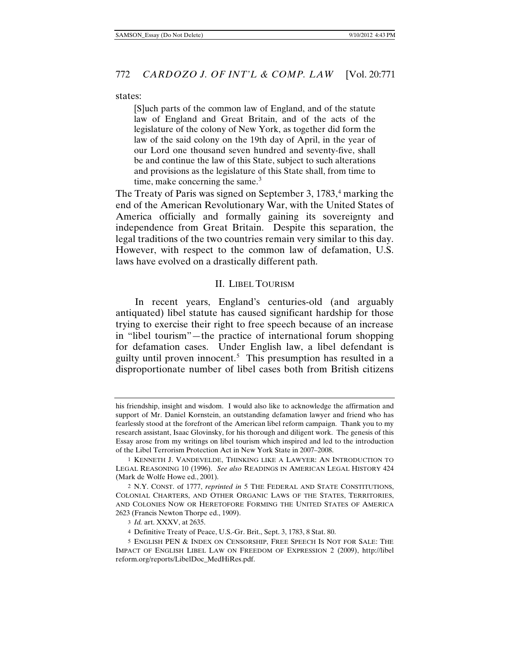#### states:

[S]uch parts of the common law of England, and of the statute law of England and Great Britain, and of the acts of the legislature of the colony of New York, as together did form the law of the said colony on the 19th day of April, in the year of our Lord one thousand seven hundred and seventy-five, shall be and continue the law of this State, subject to such alterations and provisions as the legislature of this State shall, from time to time, make concerning the same. $3$ 

The Treaty of Paris was signed on September 3, 1783,<sup>[4](#page-1-1)</sup> marking the end of the American Revolutionary War, with the United States of America officially and formally gaining its sovereignty and independence from Great Britain. Despite this separation, the legal traditions of the two countries remain very similar to this day. However, with respect to the common law of defamation, U.S. laws have evolved on a drastically different path.

#### <span id="page-1-3"></span>II. LIBEL TOURISM

In recent years, England's centuries-old (and arguably antiquated) libel statute has caused significant hardship for those trying to exercise their right to free speech because of an increase in "libel tourism"—the practice of international forum shopping for defamation cases. Under English law, a libel defendant is guilty until proven innocent.[5](#page-1-2) This presumption has resulted in a disproportionate number of libel cases both from British citizens

his friendship, insight and wisdom. I would also like to acknowledge the affirmation and support of Mr. Daniel Kornstein, an outstanding defamation lawyer and friend who has fearlessly stood at the forefront of the American libel reform campaign. Thank you to my research assistant, Isaac Glovinsky, for his thorough and diligent work. The genesis of this Essay arose from my writings on libel tourism which inspired and led to the introduction of the Libel Terrorism Protection Act in New York State in 2007–2008.

<sup>1</sup> KENNETH J. VANDEVELDE, THINKING LIKE A LAWYER: AN INTRODUCTION TO LEGAL REASONING 10 (1996). *See also* READINGS IN AMERICAN LEGAL HISTORY 424 (Mark de Wolfe Howe ed., 2001).

<sup>2</sup> N.Y. CONST. of 1777, *reprinted in* 5 THE FEDERAL AND STATE CONSTITUTIONS, COLONIAL CHARTERS, AND OTHER ORGANIC LAWS OF THE STATES, TERRITORIES, AND COLONIES NOW OR HERETOFORE FORMING THE UNITED STATES OF AMERICA 2623 (Francis Newton Thorpe ed., 1909).

<sup>3</sup> *Id.* art. XXXV, at 2635.

<sup>4</sup> Definitive Treaty of Peace, U.S.-Gr. Brit., Sept. 3, 1783, 8 Stat. 80.

<span id="page-1-2"></span><span id="page-1-1"></span><span id="page-1-0"></span><sup>5</sup> ENGLISH PEN & INDEX ON CENSORSHIP, FREE SPEECH IS NOT FOR SALE: THE IMPACT OF ENGLISH LIBEL LAW ON FREEDOM OF EXPRESSION 2 (2009), http://libel reform.org/reports/LibelDoc\_MedHiRes.pdf.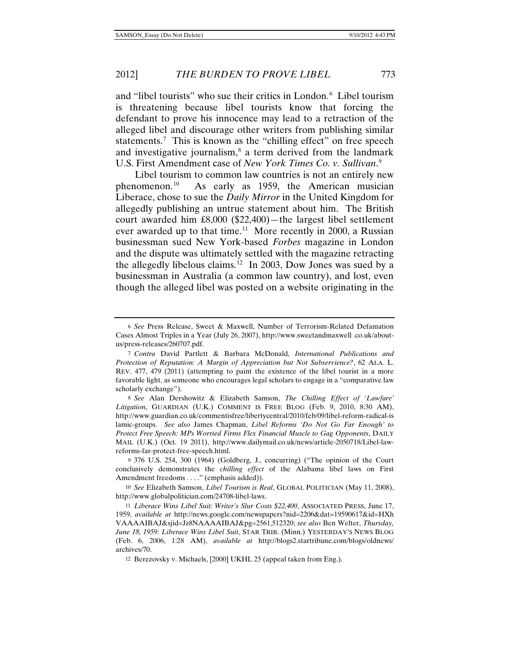and "libel tourists" who sue their critics in London.<sup>[6](#page-2-0)</sup> Libel tourism is threatening because libel tourists know that forcing the defendant to prove his innocence may lead to a retraction of the alleged libel and discourage other writers from publishing similar statements.<sup>[7](#page-2-1)</sup> This is known as the "chilling effect" on free speech and investigative journalism, $\delta$  a term derived from the landmark U.S. First Amendment case of *New York Times Co. v. Sullivan*. [9](#page-2-3)

<span id="page-2-7"></span>Libel tourism to common law countries is not an entirely new phenomenon.[10](#page-2-4) As early as 1959, the American musician Liberace, chose to sue the *Daily Mirror* in the United Kingdom for allegedly publishing an untrue statement about him. The British court awarded him £8,000 (\$22,400)—the largest libel settlement ever awarded up to that time.<sup>11</sup> More recently in 2000, a Russian businessman sued New York-based *Forbes* magazine in London and the dispute was ultimately settled with the magazine retracting the allegedly libelous claims.<sup>[12](#page-2-6)</sup> In 2003, Dow Jones was sued by a businessman in Australia (a common law country), and lost, even though the alleged libel was posted on a website originating in the

<span id="page-2-0"></span><sup>6</sup> *See* Press Release, Sweet & Maxwell, Number of Terrorism-Related Defamation Cases Almost Triples in a Year (July 26, 2007), http://www.sweetandmaxwell .co.uk/aboutus/press-releases/260707.pdf.

<span id="page-2-1"></span><sup>7</sup> *Contra* David Partlett & Barbara McDonald, *International Publications and Protection of Reputation: A Margin of Appreciation but Not Subservience?*, 62 ALA. L. REV. 477, 479 (2011) (attempting to paint the existence of the libel tourist in a more favorable light, as someone who encourages legal scholars to engage in a "comparative law scholarly exchange").

<span id="page-2-2"></span><sup>8</sup> *See* Alan Dershowitz & Elizabeth Samson, *The Chilling Effect of 'Lawfare' Litigation*, GUARDIAN (U.K.) COMMENT IS FREE BLOG (Feb. 9, 2010, 8:30 AM), http://www.guardian.co.uk/commentisfree/libertycentral/2010/feb/09/libel-reform-radical-is lamic-groups. *See also* James Chapman, *Libel Reforms 'Do Not Go Far Enough' to Protect Free Speech: MPs Worried Firms Flex Financial Muscle to Gag Opponents*, DAILY MAIL (U.K.) (Oct. 19 2011), http://www.dailymail.co.uk/news/article-2050718/Libel-lawreforms-far-protect-free-speech.html.

<span id="page-2-3"></span><sup>9</sup> 376 U.S. 254, 300 (1964) (Goldberg, J., concurring) ("The opinion of the Court conclusively demonstrates the *chilling effect* of the Alabama libel laws on First Amendment freedoms . . . ." (emphasis added)).

<span id="page-2-4"></span><sup>10</sup> *See* Elizabeth Samson, *Libel Tourism is Real*, GLOBAL POLITICIAN (May 11, 2008), http://www.globalpolitician.com/24708-libel-laws.

<span id="page-2-5"></span><sup>11</sup> *Liberace Wins Libel Suit: Writer's Slur Costs \$22,400*, ASSOCIATED PRESS, June 17, 1959, *available at* http://news.google.com/newspapers?nid=2206&dat=19590617&id=HXh VAAAAIBAJ&sjid=Jz8NAAAAIBAJ&pg=2561,512320; *see also* Ben Welter, *Thursday, June 18, 1959: Liberace Wins Libel Suit*, STAR TRIB. (Minn.) YESTERDAY'S NEWS BLOG (Feb. 6, 2006, 1:28 AM), *available at* http://blogs2.startribune.com/blogs/oldnews/ archives/70.

<span id="page-2-6"></span><sup>12</sup> Berezovsky v. Michaels, [2000] UKHL 25 (appeal taken from Eng.).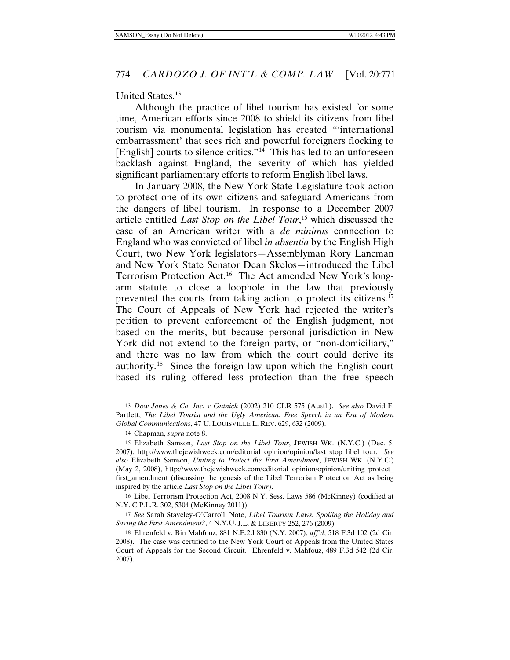#### <span id="page-3-6"></span>United States.[13](#page-3-0)

Although the practice of libel tourism has existed for some time, American efforts since 2008 to shield its citizens from libel tourism via monumental legislation has created "'international embarrassment' that sees rich and powerful foreigners flocking to [English] courts to silence critics."[14](#page-3-1) This has led to an unforeseen backlash against England, the severity of which has yielded significant parliamentary efforts to reform English libel laws.

In January 2008, the New York State Legislature took action to protect one of its own citizens and safeguard Americans from the dangers of libel tourism. In response to a December 2007 article entitled *Last Stop on the Libel Tour*, [15](#page-3-2) which discussed the case of an American writer with a *de minimis* connection to England who was convicted of libel *in absentia* by the English High Court, two New York legislators—Assemblyman Rory Lancman and New York State Senator Dean Skelos—introduced the Libel Terrorism Protection Act.[16](#page-3-3) The Act amended New York's longarm statute to close a loophole in the law that previously prevented the courts from taking action to protect its citizens.[17](#page-3-4)  The Court of Appeals of New York had rejected the writer's petition to prevent enforcement of the English judgment, not based on the merits, but because personal jurisdiction in New York did not extend to the foreign party, or "non-domiciliary," and there was no law from which the court could derive its authority.[18](#page-3-5) Since the foreign law upon which the English court based its ruling offered less protection than the free speech

<span id="page-3-0"></span><sup>13</sup> *Dow Jones & Co. Inc. v Gutnick* (2002) 210 CLR 575 (Austl.). *See also* David F. Partlett, *The Libel Tourist and the Ugly American: Free Speech in an Era of Modern Global Communications*, 47 U. LOUISVILLE L. REV. 629, 632 (2009).

<sup>14</sup> Chapman, *supra* not[e 8.](#page-2-7)

<span id="page-3-2"></span><span id="page-3-1"></span><sup>15</sup> Elizabeth Samson, *Last Stop on the Libel Tour*, JEWISH WK. (N.Y.C.) (Dec. 5, 2007), http://www.thejewishweek.com/editorial\_opinion/opinion/last\_stop\_libel\_tour. *See also* Elizabeth Samson, *Uniting to Protect the First Amendment*, JEWISH WK. (N.Y.C.) (May 2, 2008), http://www.thejewishweek.com/editorial\_opinion/opinion/uniting\_protect\_ first\_amendment (discussing the genesis of the Libel Terrorism Protection Act as being inspired by the article *Last Stop on the Libel Tour*).

<span id="page-3-3"></span><sup>16</sup> Libel Terrorism Protection Act, 2008 N.Y. Sess. Laws 586 (McKinney) (codified at N.Y. C.P.L.R. 302, 5304 (McKinney 2011)).

<span id="page-3-4"></span><sup>17</sup> *See* Sarah Staveley-O'Carroll, Note, *Libel Tourism Laws: Spoiling the Holiday and Saving the First Amendment?*, 4 N.Y.U. J.L. & LIBERTY 252, 276 (2009).

<span id="page-3-5"></span><sup>18</sup> Ehrenfeld v. Bin Mahfouz, 881 N.E.2d 830 (N.Y. 2007), *aff'd*, 518 F.3d 102 (2d Cir. 2008). The case was certified to the New York Court of Appeals from the United States Court of Appeals for the Second Circuit. Ehrenfeld v. Mahfouz, 489 F.3d 542 (2d Cir. 2007).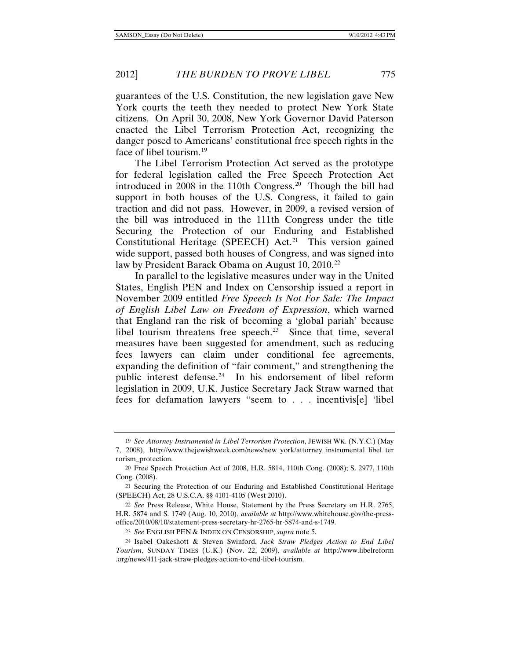guarantees of the U.S. Constitution, the new legislation gave New York courts the teeth they needed to protect New York State citizens. On April 30, 2008, New York Governor David Paterson enacted the Libel Terrorism Protection Act, recognizing the danger posed to Americans' constitutional free speech rights in the face of libel tourism.<sup>[19](#page-4-0)</sup>

The Libel Terrorism Protection Act served as the prototype for federal legislation called the Free Speech Protection Act introduced in 2008 in the 110th Congress.[20](#page-4-1) Though the bill had support in both houses of the U.S. Congress, it failed to gain traction and did not pass. However, in 2009, a revised version of the bill was introduced in the 111th Congress under the title Securing the Protection of our Enduring and Established Constitutional Heritage (SPEECH) Act. [21](#page-4-2) This version gained wide support, passed both houses of Congress, and was signed into law by President Barack Obama on August 10, 2010.<sup>[22](#page-4-3)</sup>

In parallel to the legislative measures under way in the United States, English PEN and Index on Censorship issued a report in November 2009 entitled *Free Speech Is Not For Sale: The Impact of English Libel Law on Freedom of Expression*, which warned that England ran the risk of becoming a 'global pariah' because libel tourism threatens free speech.<sup>23</sup> Since that time, several measures have been suggested for amendment, such as reducing fees lawyers can claim under conditional fee agreements, expanding the definition of "fair comment," and strengthening the public interest defense.<sup>[24](#page-4-5)</sup> In his endorsement of libel reform legislation in 2009, U.K. Justice Secretary Jack Straw warned that fees for defamation lawyers "seem to . . . incentivis[e] 'libel

<span id="page-4-0"></span><sup>19</sup> *See Attorney Instrumental in Libel Terrorism Protection*, JEWISH WK. (N.Y.C.) (May 7, 2008), http://www.thejewishweek.com/news/new\_york/attorney\_instrumental\_libel\_ter rorism\_protection.

<span id="page-4-1"></span><sup>20</sup> Free Speech Protection Act of 2008, H.R. 5814, 110th Cong. (2008); S. 2977, 110th Cong. (2008).

<span id="page-4-2"></span><sup>21</sup> Securing the Protection of our Enduring and Established Constitutional Heritage (SPEECH) Act, 28 U.S.C.A. §§ 4101-4105 (West 2010).

<span id="page-4-3"></span><sup>22</sup> *See* Press Release, White House, Statement by the Press Secretary on H.R. 2765, H.R. 5874 and S. 1749 (Aug. 10, 2010), *available at* http://www.whitehouse.gov/the-pressoffice/2010/08/10/statement-press-secretary-hr-2765-hr-5874-and-s-1749.

<sup>23</sup> *See* ENGLISH PEN & INDEX ON CENSORSHIP, *supra* note [5.](#page-1-3)

<span id="page-4-5"></span><span id="page-4-4"></span><sup>24</sup> Isabel Oakeshott & Steven Swinford, *Jack Straw Pledges Action to End Libel Tourism*, SUNDAY TIMES (U.K.) (Nov. 22, 2009), *available at* http://www.libelreform .org/news/411-jack-straw-pledges-action-to-end-libel-tourism.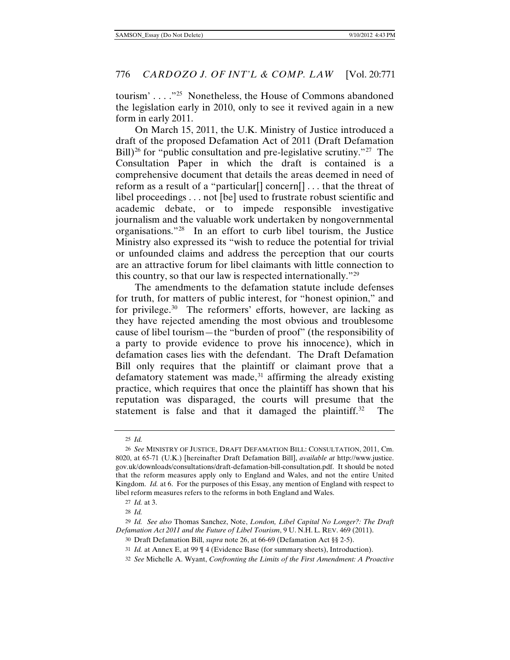tourism' . . . ."[25](#page-5-1) Nonetheless, the House of Commons abandoned the legislation early in 2010, only to see it revived again in a new form in early 2011.

<span id="page-5-0"></span>On March 15, 2011, the U.K. Ministry of Justice introduced a draft of the proposed Defamation Act of 2011 (Draft Defamation Bill)<sup>[26](#page-5-2)</sup> for "public consultation and pre-legislative scrutiny."<sup>[27](#page-5-3)</sup> The Consultation Paper in which the draft is contained is a comprehensive document that details the areas deemed in need of reform as a result of a "particular[] concern[] . . . that the threat of libel proceedings . . . not [be] used to frustrate robust scientific and academic debate, or to impede responsible investigative journalism and the valuable work undertaken by nongovernmental organisations."[28](#page-5-4) In an effort to curb libel tourism, the Justice Ministry also expressed its "wish to reduce the potential for trivial or unfounded claims and address the perception that our courts are an attractive forum for libel claimants with little connection to this country, so that our law is respected internationally."[29](#page-5-5)

The amendments to the defamation statute include defenses for truth, for matters of public interest, for "honest opinion," and for privilege.[30](#page-5-6) The reformers' efforts, however, are lacking as they have rejected amending the most obvious and troublesome cause of libel tourism—the "burden of proof" (the responsibility of a party to provide evidence to prove his innocence), which in defamation cases lies with the defendant. The Draft Defamation Bill only requires that the plaintiff or claimant prove that a defamatory statement was made, $31$  affirming the already existing practice, which requires that once the plaintiff has shown that his reputation was disparaged, the courts will presume that the statement is false and that it damaged the plaintiff.<sup>[32](#page-5-8)</sup> The

<sup>25</sup> *Id.*

<span id="page-5-2"></span><span id="page-5-1"></span><sup>26</sup> *See* MINISTRY OF JUSTICE, DRAFT DEFAMATION BILL: CONSULTATION, 2011, Cm. 8020, at 65-71 (U.K.) [hereinafter Draft Defamation Bill], *available at* http://www.justice. gov.uk/downloads/consultations/draft-defamation-bill-consultation.pdf. It should be noted that the reform measures apply only to England and Wales, and not the entire United Kingdom. *Id.* at 6. For the purposes of this Essay, any mention of England with respect to libel reform measures refers to the reforms in both England and Wales.

<sup>27</sup> *Id.* at 3.

<sup>28</sup> *Id.*

<span id="page-5-8"></span><span id="page-5-7"></span><span id="page-5-6"></span><span id="page-5-5"></span><span id="page-5-4"></span><span id="page-5-3"></span><sup>29</sup> *Id. See also* Thomas Sanchez, Note, *London, Libel Capital No Longer?: The Draft Defamation Act 2011 and the Future of Libel Tourism*, 9 U. N.H. L. REV. 469 (2011).

<sup>30</sup> Draft Defamation Bill, *supra* not[e 26,](#page-5-0) at 66-69 (Defamation Act §§ 2-5).

<sup>31</sup> *Id.* at Annex E, at 99 ¶ 4 (Evidence Base (for summary sheets), Introduction).

<sup>32</sup> *See* Michelle A. Wyant, *Confronting the Limits of the First Amendment: A Proactive*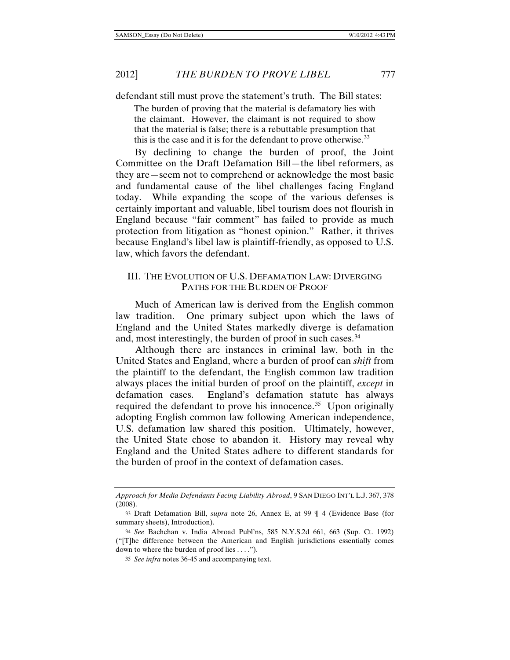defendant still must prove the statement's truth. The Bill states:

The burden of proving that the material is defamatory lies with the claimant. However, the claimant is not required to show that the material is false; there is a rebuttable presumption that this is the case and it is for the defendant to prove otherwise.<sup>[33](#page-6-0)</sup>

By declining to change the burden of proof, the Joint Committee on the Draft Defamation Bill—the libel reformers, as they are—seem not to comprehend or acknowledge the most basic and fundamental cause of the libel challenges facing England today. While expanding the scope of the various defenses is certainly important and valuable, libel tourism does not flourish in England because "fair comment" has failed to provide as much protection from litigation as "honest opinion." Rather, it thrives because England's libel law is plaintiff-friendly, as opposed to U.S. law, which favors the defendant.

## III. THE EVOLUTION OF U.S. DEFAMATION LAW: DIVERGING PATHS FOR THE BURDEN OF PROOF

Much of American law is derived from the English common law tradition. One primary subject upon which the laws of England and the United States markedly diverge is defamation and, most interestingly, the burden of proof in such cases.<sup>[34](#page-6-1)</sup>

Although there are instances in criminal law, both in the United States and England, where a burden of proof can *shift* from the plaintiff to the defendant, the English common law tradition always places the initial burden of proof on the plaintiff, *except* in defamation cases. England's defamation statute has always required the defendant to prove his innocence.<sup>[35](#page-6-2)</sup> Upon originally adopting English common law following American independence, U.S. defamation law shared this position. Ultimately, however, the United State chose to abandon it. History may reveal why England and the United States adhere to different standards for the burden of proof in the context of defamation cases.

*Approach for Media Defendants Facing Liability Abroad*, 9 SAN DIEGO INT'L L.J. 367, 378 (2008).

<span id="page-6-0"></span><sup>33</sup> Draft Defamation Bill, *supra* note [26,](#page-5-0) Annex E, at 99 ¶ 4 (Evidence Base (for summary sheets), Introduction).

<span id="page-6-2"></span><span id="page-6-1"></span><sup>34</sup> *See* Bachchan v. India Abroad Publ'ns, 585 N.Y.S.2d 661, 663 (Sup. Ct. 1992) ("[T]he difference between the American and English jurisdictions essentially comes down to where the burden of proof lies . . . .").

<sup>35</sup> *See infra* notes [36-](#page-7-0)[45](#page-7-1) and accompanying text.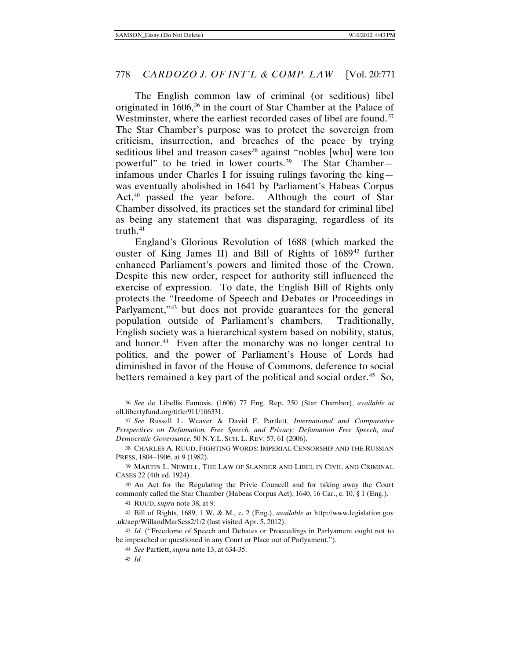<span id="page-7-13"></span><span id="page-7-2"></span><span id="page-7-0"></span>The English common law of criminal (or seditious) libel originated in 1606,<sup>[36](#page-7-3)</sup> in the court of Star Chamber at the Palace of Westminster, where the earliest recorded cases of libel are found.<sup>37</sup> The Star Chamber's purpose was to protect the sovereign from criticism, insurrection, and breaches of the peace by trying seditious libel and treason cases<sup>[38](#page-7-5)</sup> against "nobles [who] were too powerful" to be tried in lower courts.[39](#page-7-6) The Star Chamber infamous under Charles I for issuing rulings favoring the king was eventually abolished in 1641 by Parliament's Habeas Corpus Act,<sup>[40](#page-7-7)</sup> passed the year before. Although the court of Star Chamber dissolved, its practices set the standard for criminal libel as being any statement that was disparaging, regardless of its truth. $41$ 

England's Glorious Revolution of 1688 (which marked the ouster of King James II) and Bill of Rights of 1689<sup>[42](#page-7-9)</sup> further enhanced Parliament's powers and limited those of the Crown. Despite this new order, respect for authority still influenced the exercise of expression. To date, the English Bill of Rights only protects the "freedome of Speech and Debates or Proceedings in Parlyament,"<sup>[43](#page-7-10)</sup> but does not provide guarantees for the general population outside of Parliament's chambers. Traditionally, English society was a hierarchical system based on nobility, status, and honor.<sup>44</sup> Even after the monarchy was no longer central to politics, and the power of Parliament's House of Lords had diminished in favor of the House of Commons, deference to social betters remained a key part of the political and social order.<sup>[45](#page-7-12)</sup> So,

<span id="page-7-3"></span><span id="page-7-1"></span><sup>36</sup> *See* de Libellis Famosis, (1606) 77 Eng. Rep. 250 (Star Chamber), *available at* oll.libertyfund.org/title/911/106331.

<span id="page-7-4"></span><sup>37</sup> *See* Russell L. Weaver & David F. Partlett, *International and Comparative Perspectives on Defamation, Free Speech, and Privacy: Defamation Free Speech, and Democratic Governance*, 50 N.Y.L. SCH. L. REV. 57, 61 (2006).

<span id="page-7-5"></span><sup>38</sup> CHARLES A. RUUD, FIGHTING WORDS: IMPERIAL CENSORSHIP AND THE RUSSIAN PRESS, 1804–1906, at 9 (1982).

<span id="page-7-6"></span><sup>39</sup> MARTIN L. NEWELL, THE LAW OF SLANDER AND LIBEL IN CIVIL AND CRIMINAL CASES 22 (4th ed. 1924).

<span id="page-7-7"></span><sup>40</sup> An Act for the Regulating the Privie Councell and for taking away the Court commonly called the Star Chamber (Habeas Corpus Act), 1640, 16 Car., c. 10, § 1 (Eng.).

<sup>41</sup> RUUD, *supra* not[e 38,](#page-7-2) at 9.

<span id="page-7-9"></span><span id="page-7-8"></span><sup>42</sup> Bill of Rights, 1689, 1 W. & M., c. 2 (Eng.), *available at* http://www.legislation.gov .uk/aep/WillandMarSess2/1/2 (last visited Apr. 5, 2012).

<span id="page-7-12"></span><span id="page-7-11"></span><span id="page-7-10"></span><sup>43</sup> *Id.* ("Freedome of Speech and Debates or Proceedings in Parlyament ought not to be impeached or questioned in any Court or Place out of Parlyament.").

<sup>44</sup> *See* Partlett, *supra* not[e 13,](#page-3-6) at 634-35.

<sup>45</sup> *Id.*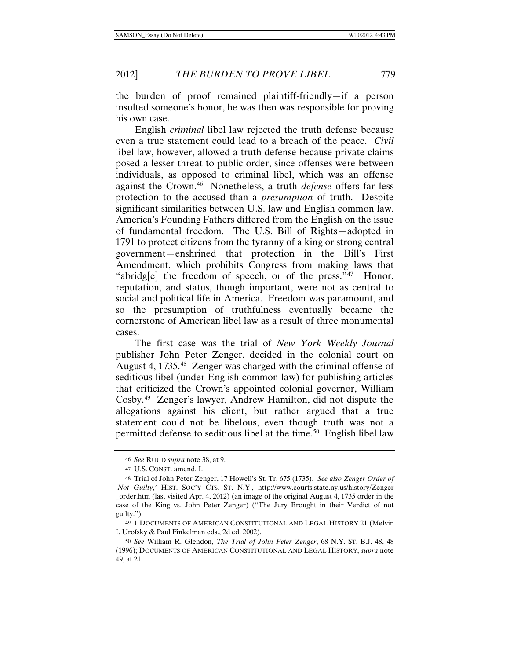the burden of proof remained plaintiff-friendly—if a person insulted someone's honor, he was then was responsible for proving his own case.

English *criminal* libel law rejected the truth defense because even a true statement could lead to a breach of the peace. *Civil* libel law, however, allowed a truth defense because private claims posed a lesser threat to public order, since offenses were between individuals, as opposed to criminal libel, which was an offense against the Crown.[46](#page-8-1) Nonetheless, a truth *defense* offers far less protection to the accused than a *presumption* of truth. Despite significant similarities between U.S. law and English common law, America's Founding Fathers differed from the English on the issue of fundamental freedom. The U.S. Bill of Rights—adopted in 1791 to protect citizens from the tyranny of a king or strong central government—enshrined that protection in the Bill's First Amendment, which prohibits Congress from making laws that "abridg[e] the freedom of speech, or of the press."<sup>[47](#page-8-2)</sup> Honor, reputation, and status, though important, were not as central to social and political life in America. Freedom was paramount, and so the presumption of truthfulness eventually became the cornerstone of American libel law as a result of three monumental cases.

<span id="page-8-0"></span>The first case was the trial of *New York Weekly Journal* publisher John Peter Zenger, decided in the colonial court on August 4, 1735. [48](#page-8-3) Zenger was charged with the criminal offense of seditious libel (under English common law) for publishing articles that criticized the Crown's appointed colonial governor, William Cosby.[49](#page-8-4) Zenger's lawyer, Andrew Hamilton, did not dispute the allegations against his client, but rather argued that a true statement could not be libelous, even though truth was not a permitted defense to seditious libel at the time.<sup>[50](#page-8-5)</sup> English libel law

<span id="page-8-6"></span><sup>46</sup> *See* RUUD *supra* note [38,](#page-7-2) at 9.

<sup>47</sup> U.S. CONST. amend. I.

<span id="page-8-3"></span><span id="page-8-2"></span><span id="page-8-1"></span><sup>48</sup> Trial of John Peter Zenger, 17 Howell's St. Tr. 675 (1735). *See also Zenger Order of 'Not Guilty*,*'* HIST. SOC'Y CTS. ST. N.Y., http://www.courts.state.ny.us/history/Zenger \_order.htm (last visited Apr. 4, 2012) (an image of the original August 4, 1735 order in the case of the King vs. John Peter Zenger) ("The Jury Brought in their Verdict of not guilty.").

<span id="page-8-4"></span><sup>49</sup> 1 DOCUMENTS OF AMERICAN CONSTITUTIONAL AND LEGAL HISTORY 21 (Melvin I. Urofsky & Paul Finkelman eds., 2d ed. 2002).

<span id="page-8-5"></span><sup>50</sup> *See* William R. Glendon, *The Trial of John Peter Zenger*, 68 N.Y. ST. B.J. 48, 48 (1996); DOCUMENTS OF AMERICAN CONSTITUTIONAL AND LEGAL HISTORY, *supra* note [49,](#page-8-0) at 21.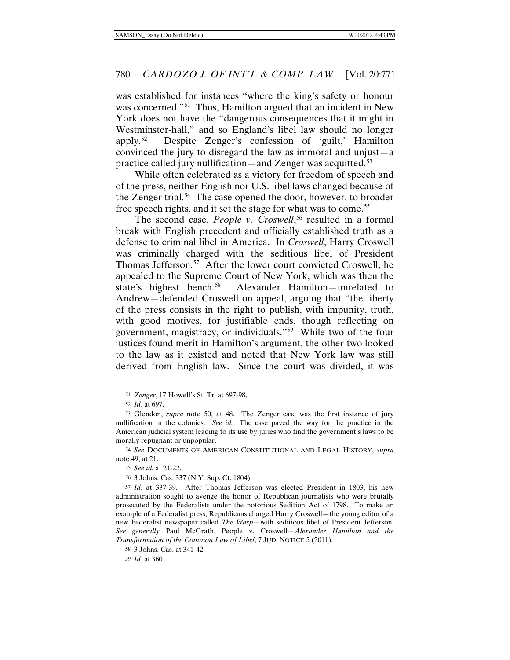was established for instances "where the king's safety or honour was concerned."<sup>51</sup> Thus, Hamilton argued that an incident in New York does not have the "dangerous consequences that it might in Westminster-hall," and so England's libel law should no longer apply.[52](#page-9-1) Despite Zenger's confession of 'guilt,' Hamilton convinced the jury to disregard the law as immoral and unjust—a practice called jury nullification—and Zenger was acquitted.<sup>[53](#page-9-2)</sup>

While often celebrated as a victory for freedom of speech and of the press, neither English nor U.S. libel laws changed because of the Zenger trial.<sup>[54](#page-9-3)</sup> The case opened the door, however, to broader free speech rights, and it set the stage for what was to come.<sup>[55](#page-9-4)</sup>

The second case, *People v. Croswell*,<sup>[56](#page-9-5)</sup> resulted in a formal break with English precedent and officially established truth as a defense to criminal libel in America. In *Croswell*, Harry Croswell was criminally charged with the seditious libel of President Thomas Jefferson.<sup>[57](#page-9-6)</sup> After the lower court convicted Croswell, he appealed to the Supreme Court of New York, which was then the state's highest bench.<sup>[58](#page-9-7)</sup> Alexander Hamilton—unrelated to Andrew—defended Croswell on appeal, arguing that "the liberty of the press consists in the right to publish, with impunity, truth, with good motives, for justifiable ends, though reflecting on government, magistracy, or individuals."[59](#page-9-8) While two of the four justices found merit in Hamilton's argument, the other two looked to the law as it existed and noted that New York law was still derived from English law. Since the court was divided, it was

<sup>51</sup> *Zenger*, 17 Howell's St. Tr. at 697-98.

<sup>52</sup> *Id.* at 697.

<span id="page-9-2"></span><span id="page-9-1"></span><span id="page-9-0"></span><sup>53</sup> Glendon, *supra* note [50,](#page-8-6) at 48. The Zenger case was the first instance of jury nullification in the colonies. *See id.* The case paved the way for the practice in the American judicial system leading to its use by juries who find the government's laws to be morally repugnant or unpopular.

<span id="page-9-3"></span><sup>54</sup> *See* DOCUMENTS OF AMERICAN CONSTITUTIONAL AND LEGAL HISTORY, *supra* not[e 49,](#page-8-0) at 21.

<sup>55</sup> *See id.* at 21-22.

<sup>56</sup> 3 Johns. Cas. 337 (N.Y. Sup. Ct. 1804).

<span id="page-9-6"></span><span id="page-9-5"></span><span id="page-9-4"></span><sup>57</sup> *Id.* at 337-39. After Thomas Jefferson was elected President in 1803, his new administration sought to avenge the honor of Republican journalists who were brutally prosecuted by the Federalists under the notorious Sedition Act of 1798. To make an example of a Federalist press, Republicans charged Harry Croswell—the young editor of a new Federalist newspaper called *The Wasp*—with seditious libel of President Jefferson. *See generally* Paul McGrath, People v. Croswell*—Alexander Hamilton and the Transformation of the Common Law of Libel*, 7 JUD. NOTICE 5 (2011).

<span id="page-9-8"></span><span id="page-9-7"></span><sup>58</sup> 3 Johns. Cas. at 341-42.

<sup>59</sup> *Id.* at 360.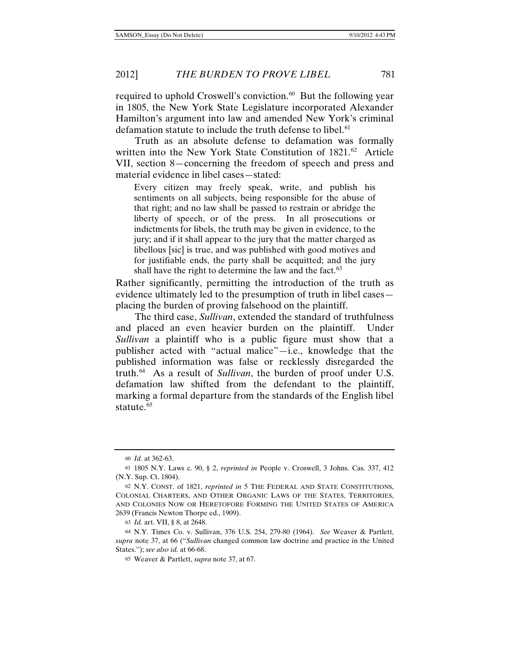required to uphold Croswell's conviction.<sup>[60](#page-10-0)</sup> But the following year in 1805, the New York State Legislature incorporated Alexander Hamilton's argument into law and amended New York's criminal defamation statute to include the truth defense to libel.<sup>[61](#page-10-1)</sup>

Truth as an absolute defense to defamation was formally written into the New York State Constitution of  $1821$ .<sup>[62](#page-10-2)</sup> Article VII, section 8—concerning the freedom of speech and press and material evidence in libel cases—stated:

Every citizen may freely speak, write, and publish his sentiments on all subjects, being responsible for the abuse of that right; and no law shall be passed to restrain or abridge the liberty of speech, or of the press. In all prosecutions or indictments for libels, the truth may be given in evidence, to the jury; and if it shall appear to the jury that the matter charged as libellous [sic] is true, and was published with good motives and for justifiable ends, the party shall be acquitted; and the jury shall have the right to determine the law and the fact.<sup>[63](#page-10-3)</sup>

Rather significantly, permitting the introduction of the truth as evidence ultimately led to the presumption of truth in libel cases placing the burden of proving falsehood on the plaintiff.

The third case, *Sullivan*, extended the standard of truthfulness and placed an even heavier burden on the plaintiff. Under *Sullivan* a plaintiff who is a public figure must show that a publisher acted with "actual malice"—i.e., knowledge that the published information was false or recklessly disregarded the truth.[64](#page-10-4) As a result of *Sullivan*, the burden of proof under U.S. defamation law shifted from the defendant to the plaintiff, marking a formal departure from the standards of the English libel statute.<sup>[65](#page-10-5)</sup>

<sup>60</sup> *Id.* at 362-63.

<span id="page-10-1"></span><span id="page-10-0"></span><sup>61</sup> 1805 N.Y. Laws c. 90, § 2, *reprinted in* People v. Croswell, 3 Johns. Cas. 337, 412 (N.Y. Sup. Ct. 1804).

<span id="page-10-2"></span><sup>62</sup> N.Y. CONST. of 1821, *reprinted in* 5 THE FEDERAL AND STATE CONSTITUTIONS, COLONIAL CHARTERS, AND OTHER ORGANIC LAWS OF THE STATES, TERRITORIES, AND COLONIES NOW OR HERETOFORE FORMING THE UNITED STATES OF AMERICA 2639 (Francis Newton Thorpe ed., 1909).

<sup>63</sup> *Id.* art. VII, § 8, at 2648.

<span id="page-10-5"></span><span id="page-10-4"></span><span id="page-10-3"></span><sup>64</sup> N.Y. Times Co. v. Sullivan, 376 U.S. 254, 279-80 (1964). *See* Weaver & Partlett, *supra* note [37,](#page-7-13) at 66 ("*Sullivan* changed common law doctrine and practice in the United States."); *see also id.* at 66-68.

<sup>65</sup> Weaver & Partlett, *supra* not[e 37,](#page-7-13) at 67.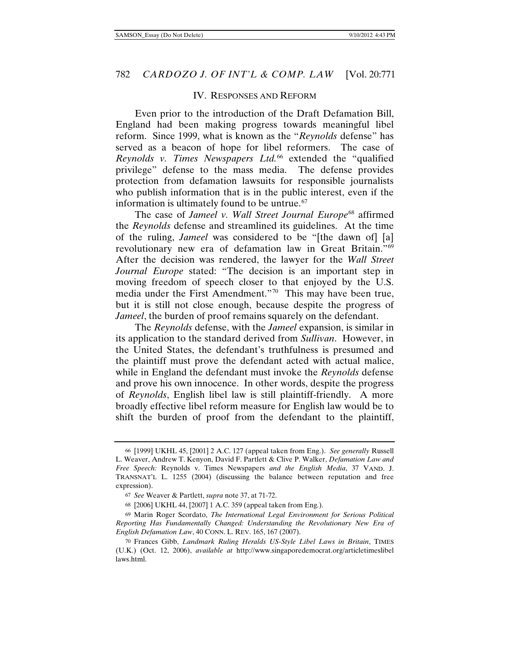#### IV. RESPONSES AND REFORM

Even prior to the introduction of the Draft Defamation Bill, England had been making progress towards meaningful libel reform. Since 1999, what is known as the "*Reynolds* defense" has served as a beacon of hope for libel reformers. The case of *Reynolds v. Times Newspapers Ltd.*[66](#page-11-0) extended the "qualified privilege" defense to the mass media. The defense provides protection from defamation lawsuits for responsible journalists who publish information that is in the public interest, even if the information is ultimately found to be untrue.<sup>[67](#page-11-1)</sup>

The case of *Jameel v. Wall Street Journal Europe*<sup>[68](#page-11-2)</sup> affirmed the *Reynolds* defense and streamlined its guidelines. At the time of the ruling, *Jameel* was considered to be "[the dawn of] [a] revolutionary new era of defamation law in Great Britain."[69](#page-11-3)  After the decision was rendered, the lawyer for the *Wall Street Journal Europe* stated: "The decision is an important step in moving freedom of speech closer to that enjoyed by the U.S. media under the First Amendment."[70](#page-11-4) This may have been true, but it is still not close enough, because despite the progress of *Jameel*, the burden of proof remains squarely on the defendant.

The *Reynolds* defense, with the *Jameel* expansion, is similar in its application to the standard derived from *Sullivan*. However, in the United States, the defendant's truthfulness is presumed and the plaintiff must prove the defendant acted with actual malice, while in England the defendant must invoke the *Reynolds* defense and prove his own innocence. In other words, despite the progress of *Reynolds*, English libel law is still plaintiff-friendly. A more broadly effective libel reform measure for English law would be to shift the burden of proof from the defendant to the plaintiff,

<span id="page-11-0"></span><sup>66</sup> [1999] UKHL 45, [2001] 2 A.C. 127 (appeal taken from Eng.). *See generally* Russell L. Weaver, Andrew T. Kenyon, David F. Partlett & Clive P. Walker, *Defamation Law and Free Speech:* Reynolds v. Times Newspapers *and the English Media*, 37 VAND. J. TRANSNAT'L L. 1255 (2004) (discussing the balance between reputation and free expression).

<sup>67</sup> *See* Weaver & Partlett, *supra* not[e 37,](#page-7-13) at 71-72.

<sup>68</sup> [2006] UKHL 44, [2007] 1 A.C. 359 (appeal taken from Eng.).

<span id="page-11-3"></span><span id="page-11-2"></span><span id="page-11-1"></span><sup>69</sup> Marin Roger Scordato, *The International Legal Environment for Serious Political Reporting Has Fundamentally Changed: Understanding the Revolutionary New Era of English Defamation Law*, 40 CONN. L. REV. 165, 167 (2007).

<span id="page-11-4"></span><sup>70</sup> Frances Gibb, *Landmark Ruling Heralds US-Style Libel Laws in Britain*, TIMES (U.K.) (Oct. 12, 2006), *available at* http://www.singaporedemocrat.org/articletimeslibel laws.html.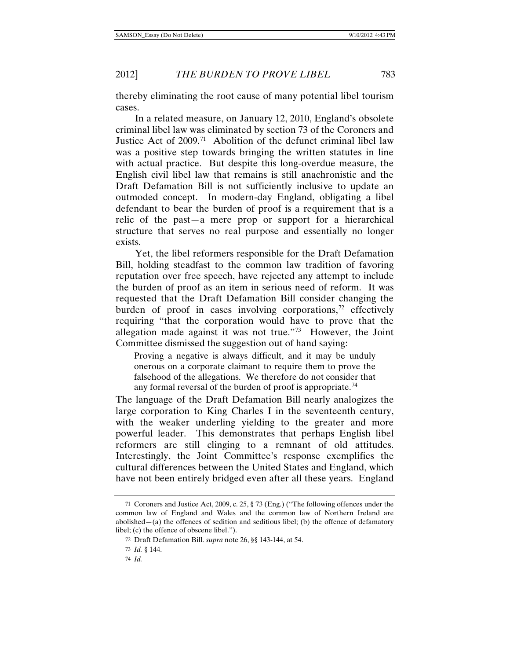thereby eliminating the root cause of many potential libel tourism cases.

In a related measure, on January 12, 2010, England's obsolete criminal libel law was eliminated by section 73 of the Coroners and Justice Act of 2009.<sup>[71](#page-12-0)</sup> Abolition of the defunct criminal libel law was a positive step towards bringing the written statutes in line with actual practice. But despite this long-overdue measure, the English civil libel law that remains is still anachronistic and the Draft Defamation Bill is not sufficiently inclusive to update an outmoded concept. In modern-day England, obligating a libel defendant to bear the burden of proof is a requirement that is a relic of the past—a mere prop or support for a hierarchical structure that serves no real purpose and essentially no longer exists.

Yet, the libel reformers responsible for the Draft Defamation Bill, holding steadfast to the common law tradition of favoring reputation over free speech, have rejected any attempt to include the burden of proof as an item in serious need of reform. It was requested that the Draft Defamation Bill consider changing the burden of proof in cases involving corporations,<sup>[72](#page-12-1)</sup> effectively requiring "that the corporation would have to prove that the allegation made against it was not true."[73](#page-12-2) However, the Joint Committee dismissed the suggestion out of hand saying:

Proving a negative is always difficult, and it may be unduly onerous on a corporate claimant to require them to prove the falsehood of the allegations. We therefore do not consider that any formal reversal of the burden of proof is appropriate.<sup>[74](#page-12-3)</sup>

The language of the Draft Defamation Bill nearly analogizes the large corporation to King Charles I in the seventeenth century, with the weaker underling yielding to the greater and more powerful leader. This demonstrates that perhaps English libel reformers are still clinging to a remnant of old attitudes. Interestingly, the Joint Committee's response exemplifies the cultural differences between the United States and England, which have not been entirely bridged even after all these years. England

<span id="page-12-1"></span><span id="page-12-0"></span><sup>71</sup> Coroners and Justice Act, 2009, c. 25, § 73 (Eng.) ("The following offences under the common law of England and Wales and the common law of Northern Ireland are abolished—(a) the offences of sedition and seditious libel; (b) the offence of defamatory libel; (c) the offence of obscene libel.").

<sup>72</sup> Draft Defamation Bill. *supra* not[e 26,](#page-5-0) §§ 143-144, at 54.

<sup>73</sup> *Id.* § 144.

<span id="page-12-3"></span><span id="page-12-2"></span><sup>74</sup> *Id.*